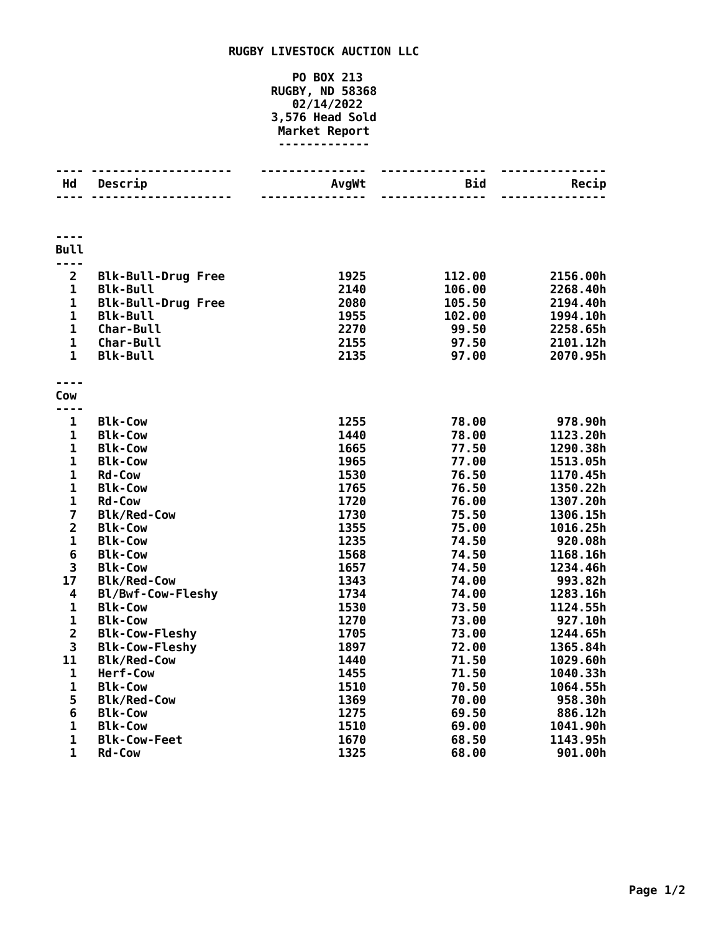## **RUGBY LIVESTOCK AUCTION LLC**

## **PO BOX 213 RUGBY, ND 58368 02/14/2022 3,576 Head Sold Market Report -------------**

| Hd                      | Descrip                   | AvgWt | Bid    | Recip    |
|-------------------------|---------------------------|-------|--------|----------|
|                         |                           |       |        |          |
|                         |                           |       |        |          |
| <b>Bull</b>             |                           |       |        |          |
| ----                    |                           |       |        |          |
| $\overline{2}$          | <b>Blk-Bull-Drug Free</b> | 1925  | 112.00 | 2156.00h |
| $\mathbf 1$             | <b>Blk-Bull</b>           | 2140  | 106.00 | 2268.40h |
| 1                       | <b>Blk-Bull-Drug Free</b> | 2080  | 105.50 | 2194.40h |
| $\mathbf 1$             | <b>Blk-Bull</b>           | 1955  | 102.00 | 1994.10h |
| $\mathbf 1$             | Char-Bull                 | 2270  | 99.50  | 2258.65h |
| $\mathbf{1}$            | Char-Bull                 | 2155  | 97.50  | 2101.12h |
| $\mathbf{1}$            | <b>Blk-Bull</b>           | 2135  | 97.00  | 2070.95h |
|                         |                           |       |        |          |
|                         |                           |       |        |          |
| Cow                     |                           |       |        |          |
| ----                    |                           |       |        |          |
| $\mathbf{1}$            | <b>Blk-Cow</b>            | 1255  | 78.00  | 978.90h  |
| 1                       | <b>Blk-Cow</b>            | 1440  | 78.00  | 1123.20h |
| $\mathbf 1$             | <b>Blk-Cow</b>            | 1665  | 77.50  | 1290.38h |
| $\mathbf 1$             | <b>Blk-Cow</b>            | 1965  | 77.00  | 1513.05h |
| $\mathbf 1$             | <b>Rd-Cow</b>             | 1530  | 76.50  | 1170.45h |
| $\mathbf{1}$            | <b>Blk-Cow</b>            | 1765  | 76.50  | 1350.22h |
| $\mathbf 1$             | <b>Rd-Cow</b>             | 1720  | 76.00  | 1307.20h |
| $\overline{\mathbf{z}}$ | <b>Blk/Red-Cow</b>        | 1730  | 75.50  | 1306.15h |
| $\overline{2}$          | <b>Blk-Cow</b>            | 1355  | 75.00  | 1016.25h |
| $\mathbf 1$             | <b>Blk-Cow</b>            | 1235  | 74.50  | 920.08h  |
| 6                       | <b>Blk-Cow</b>            | 1568  | 74.50  | 1168.16h |
| 3                       | <b>Blk-Cow</b>            | 1657  | 74.50  | 1234.46h |
| 17                      | <b>Blk/Red-Cow</b>        | 1343  | 74.00  | 993.82h  |
| 4                       | Bl/Bwf-Cow-Fleshy         | 1734  | 74.00  | 1283.16h |
| $\mathbf 1$             | <b>Blk-Cow</b>            | 1530  | 73.50  | 1124.55h |
| $\mathbf 1$             | <b>Blk-Cow</b>            | 1270  | 73.00  | 927.10h  |
| $\overline{\mathbf{2}}$ | <b>Blk-Cow-Fleshy</b>     | 1705  | 73.00  | 1244.65h |
| 3                       | <b>Blk-Cow-Fleshy</b>     | 1897  | 72.00  | 1365.84h |
| 11                      | <b>Blk/Red-Cow</b>        | 1440  | 71.50  | 1029.60h |
| 1                       | Herf-Cow                  | 1455  | 71.50  | 1040.33h |
| $\mathbf{1}$            | <b>Blk-Cow</b>            | 1510  | 70.50  | 1064.55h |
| 5                       | <b>Blk/Red-Cow</b>        | 1369  | 70.00  | 958.30h  |
| 6                       | <b>Blk-Cow</b>            | 1275  | 69.50  | 886.12h  |
| $\mathbf 1$             | <b>Blk-Cow</b>            | 1510  | 69.00  | 1041.90h |
| $\mathbf 1$             | <b>Blk-Cow-Feet</b>       | 1670  | 68.50  | 1143.95h |
| $\mathbf{1}$            | <b>Rd-Cow</b>             | 1325  | 68.00  | 901.00h  |